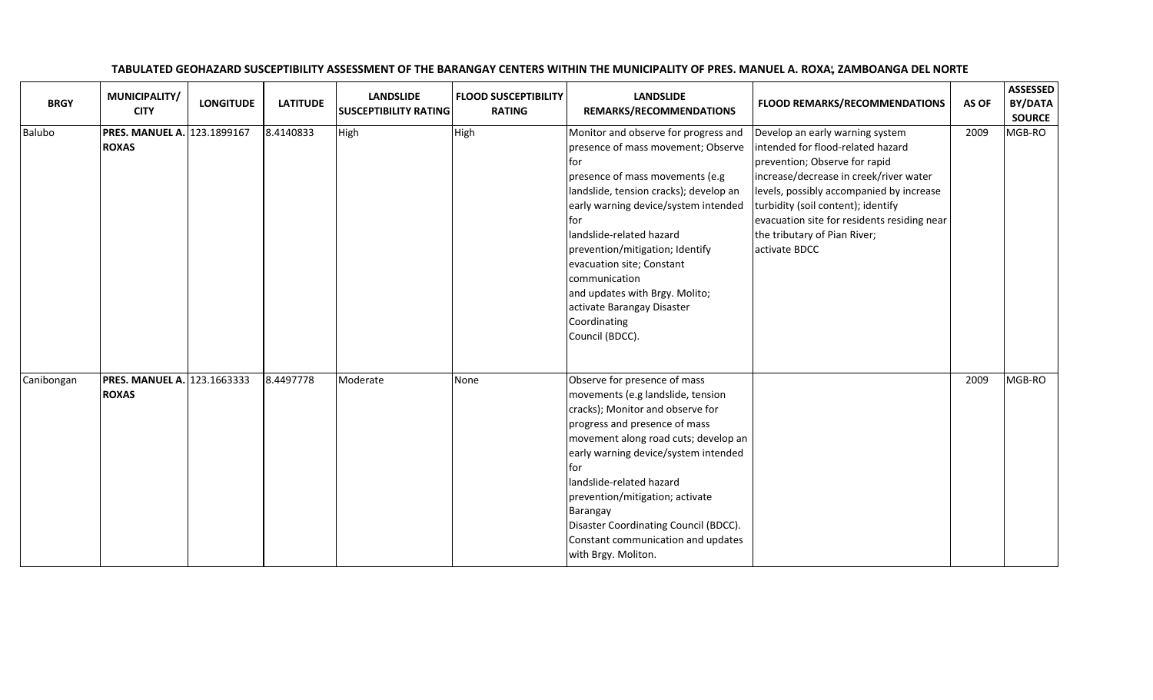| <b>BRGY</b> | MUNICIPALITY/<br><b>CITY</b>                       | <b>LONGITUDE</b> | <b>LATITUDE</b> | <b>LANDSLIDE</b><br><b>SUSCEPTIBILITY RATING</b> | <b>FLOOD SUSCEPTIBILITY</b><br><b>RATING</b> | <b>LANDSLIDE</b><br>REMARKS/RECOMMENDATIONS                                                                                                                                                                                                                                                                                                                                                                                       | <b>FLOOD REMARKS/RECOMMENDATIONS</b>                                                                                                                                                                                                                                                                                              | AS OF | <b>ASSESSED</b><br>BY/DATA<br><b>SOURCE</b> |
|-------------|----------------------------------------------------|------------------|-----------------|--------------------------------------------------|----------------------------------------------|-----------------------------------------------------------------------------------------------------------------------------------------------------------------------------------------------------------------------------------------------------------------------------------------------------------------------------------------------------------------------------------------------------------------------------------|-----------------------------------------------------------------------------------------------------------------------------------------------------------------------------------------------------------------------------------------------------------------------------------------------------------------------------------|-------|---------------------------------------------|
| Balubo      | <b>PRES. MANUEL A. 123.1899167</b><br><b>ROXAS</b> |                  | 8.4140833       | High                                             | High                                         | Monitor and observe for progress and<br>presence of mass movement; Observe<br>l for<br>presence of mass movements (e.g<br>landslide, tension cracks); develop an<br>early warning device/system intended<br>l for<br>landslide-related hazard<br>prevention/mitigation; Identify<br>evacuation site; Constant<br>communication<br>and updates with Brgy. Molito;<br>activate Barangay Disaster<br>Coordinating<br>Council (BDCC). | Develop an early warning system<br>intended for flood-related hazard<br>prevention; Observe for rapid<br>increase/decrease in creek/river water<br>levels, possibly accompanied by increase<br>turbidity (soil content); identify<br>evacuation site for residents residing near<br>the tributary of Pian River;<br>activate BDCC | 2009  | MGB-RO                                      |
| Canibongan  | <b>PRES. MANUEL A. 123.1663333</b><br><b>ROXAS</b> |                  | 8.4497778       | Moderate                                         | None                                         | Observe for presence of mass<br>movements (e.g landslide, tension<br>cracks); Monitor and observe for<br>progress and presence of mass<br>movement along road cuts; develop an<br>early warning device/system intended<br>l for<br>landslide-related hazard<br>prevention/mitigation; activate<br>Barangay<br>Disaster Coordinating Council (BDCC).<br>Constant communication and updates<br>with Brgy. Moliton.                  |                                                                                                                                                                                                                                                                                                                                   | 2009  | MGB-RO                                      |

## TABULATED GEOHAZARD SUSCEPTIBILITY ASSESSMENT OF THE BARANGAY CENTERS WITHIN THE MUNICIPALITY OF PRES. MANUEL A. ROXA, ZAMBOANGA DEL NORTE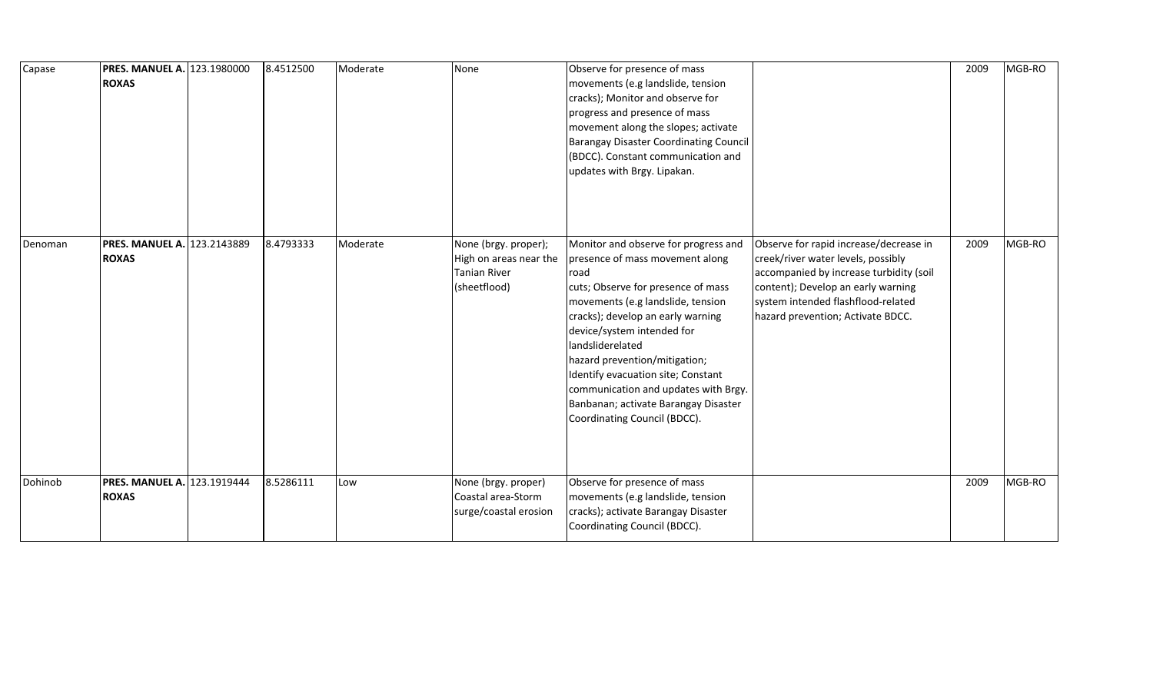| Capase  | <b>PRES. MANUEL A. 123.1980000</b><br><b>ROXAS</b> | 8.4512500 | Moderate | None                                                                           | Observe for presence of mass<br>movements (e.g landslide, tension<br>cracks); Monitor and observe for<br>progress and presence of mass<br>movement along the slopes; activate<br><b>Barangay Disaster Coordinating Council</b><br>(BDCC). Constant communication and<br>updates with Brgy. Lipakan.                                                                                                                                      |                                                                                                                                                                                                                                          | 2009 | MGB-RO |
|---------|----------------------------------------------------|-----------|----------|--------------------------------------------------------------------------------|------------------------------------------------------------------------------------------------------------------------------------------------------------------------------------------------------------------------------------------------------------------------------------------------------------------------------------------------------------------------------------------------------------------------------------------|------------------------------------------------------------------------------------------------------------------------------------------------------------------------------------------------------------------------------------------|------|--------|
| Denoman | <b>PRES. MANUEL A. 123.2143889</b><br><b>ROXAS</b> | 8.4793333 | Moderate | None (brgy. proper);<br>High on areas near the<br>Tanian River<br>(sheetflood) | Monitor and observe for progress and<br>presence of mass movement along<br>road<br>cuts; Observe for presence of mass<br>movements (e.g landslide, tension<br>cracks); develop an early warning<br>device/system intended for<br>landsliderelated<br>hazard prevention/mitigation;<br>Identify evacuation site; Constant<br>communication and updates with Brgy.<br>Banbanan; activate Barangay Disaster<br>Coordinating Council (BDCC). | Observe for rapid increase/decrease in<br>creek/river water levels, possibly<br>accompanied by increase turbidity (soil<br>content); Develop an early warning<br>system intended flashflood-related<br>hazard prevention; Activate BDCC. | 2009 | MGB-RO |
| Dohinob | <b>PRES. MANUEL A. 123.1919444</b><br><b>ROXAS</b> | 8.5286111 | Low      | None (brgy. proper)<br>Coastal area-Storm<br>surge/coastal erosion             | Observe for presence of mass<br>movements (e.g landslide, tension<br>cracks); activate Barangay Disaster<br>Coordinating Council (BDCC).                                                                                                                                                                                                                                                                                                 |                                                                                                                                                                                                                                          | 2009 | MGB-RO |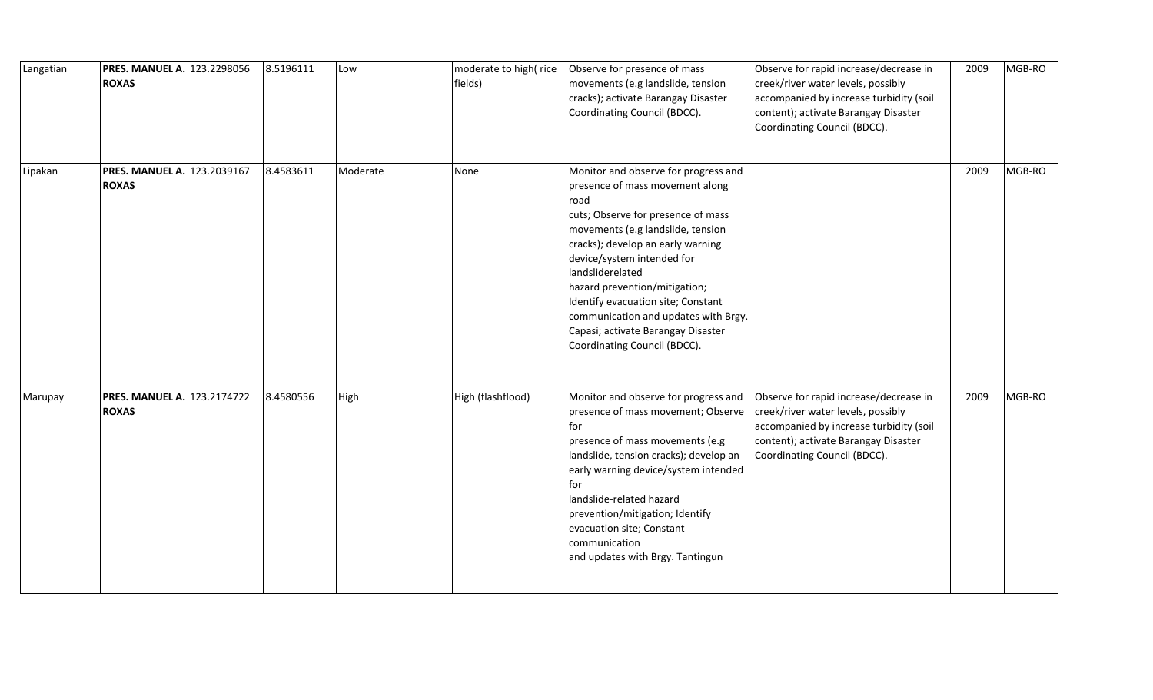| Langatian | <b>PRES. MANUEL A. 123.2298056</b><br><b>ROXAS</b> | 8.5196111 | Low      | moderate to high(rice<br>fields) | Observe for presence of mass<br>movements (e.g landslide, tension<br>cracks); activate Barangay Disaster<br>Coordinating Council (BDCC).                                                                                                                                                                                                                                                                                               | Observe for rapid increase/decrease in<br>creek/river water levels, possibly<br>accompanied by increase turbidity (soil<br>content); activate Barangay Disaster<br>Coordinating Council (BDCC). | 2009 | MGB-RO |
|-----------|----------------------------------------------------|-----------|----------|----------------------------------|----------------------------------------------------------------------------------------------------------------------------------------------------------------------------------------------------------------------------------------------------------------------------------------------------------------------------------------------------------------------------------------------------------------------------------------|-------------------------------------------------------------------------------------------------------------------------------------------------------------------------------------------------|------|--------|
| Lipakan   | <b>PRES. MANUEL A. 123.2039167</b><br><b>ROXAS</b> | 8.4583611 | Moderate | None                             | Monitor and observe for progress and<br>presence of mass movement along<br>road<br>cuts; Observe for presence of mass<br>movements (e.g landslide, tension<br>cracks); develop an early warning<br>device/system intended for<br>landsliderelated<br>hazard prevention/mitigation;<br>Identify evacuation site; Constant<br>communication and updates with Brgy.<br>Capasi; activate Barangay Disaster<br>Coordinating Council (BDCC). |                                                                                                                                                                                                 | 2009 | MGB-RO |
| Marupay   | <b>PRES. MANUEL A. 123.2174722</b><br><b>ROXAS</b> | 8.4580556 | High     | High (flashflood)                | Monitor and observe for progress and<br>presence of mass movement; Observe<br>for<br>presence of mass movements (e.g<br>landslide, tension cracks); develop an<br>early warning device/system intended<br>l for<br>landslide-related hazard<br>prevention/mitigation; Identify<br>evacuation site; Constant<br>communication<br>and updates with Brgy. Tantingun                                                                       | Observe for rapid increase/decrease in<br>creek/river water levels, possibly<br>accompanied by increase turbidity (soil<br>content); activate Barangay Disaster<br>Coordinating Council (BDCC). | 2009 | MGB-RO |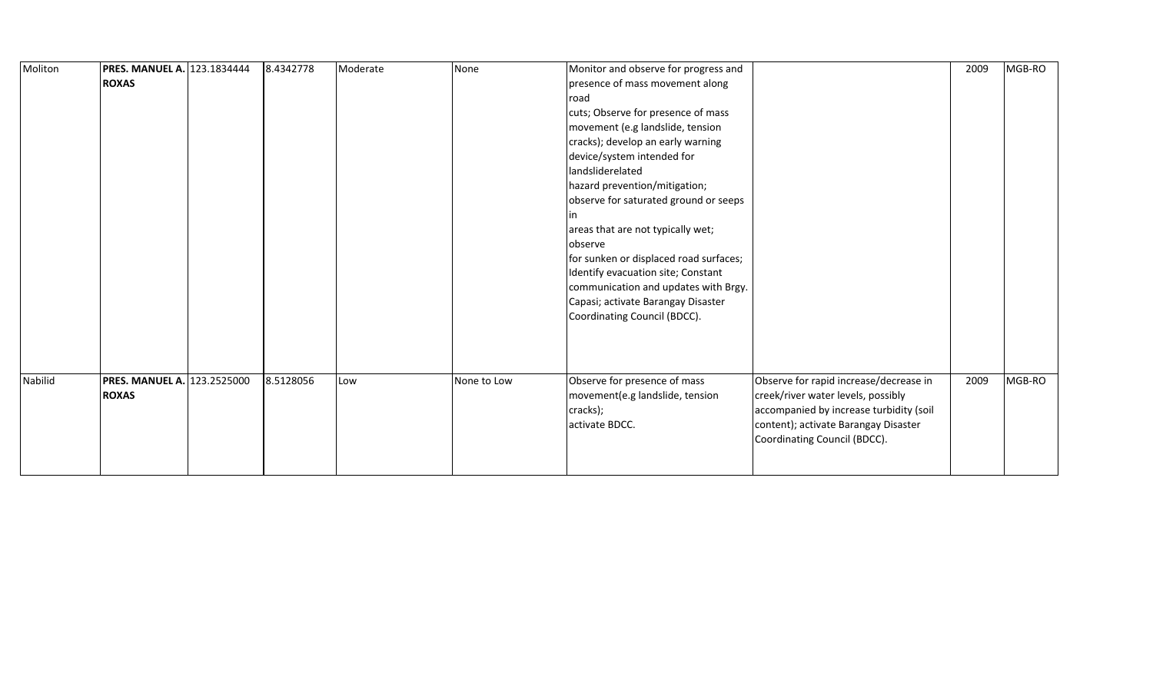| Moliton | <b>PRES. MANUEL A. 123.1834444</b><br><b>ROXAS</b> | 8.4342778 | Moderate | None        | Monitor and observe for progress and<br>presence of mass movement along<br>road               |                                                                                                                                                                 | 2009 | MGB-RO |
|---------|----------------------------------------------------|-----------|----------|-------------|-----------------------------------------------------------------------------------------------|-----------------------------------------------------------------------------------------------------------------------------------------------------------------|------|--------|
|         |                                                    |           |          |             | cuts; Observe for presence of mass                                                            |                                                                                                                                                                 |      |        |
|         |                                                    |           |          |             | movement (e.g landslide, tension                                                              |                                                                                                                                                                 |      |        |
|         |                                                    |           |          |             | cracks); develop an early warning<br>device/system intended for                               |                                                                                                                                                                 |      |        |
|         |                                                    |           |          |             | landsliderelated                                                                              |                                                                                                                                                                 |      |        |
|         |                                                    |           |          |             | hazard prevention/mitigation;                                                                 |                                                                                                                                                                 |      |        |
|         |                                                    |           |          |             | observe for saturated ground or seeps                                                         |                                                                                                                                                                 |      |        |
|         |                                                    |           |          |             |                                                                                               |                                                                                                                                                                 |      |        |
|         |                                                    |           |          |             | areas that are not typically wet;                                                             |                                                                                                                                                                 |      |        |
|         |                                                    |           |          |             | observe                                                                                       |                                                                                                                                                                 |      |        |
|         |                                                    |           |          |             | for sunken or displaced road surfaces;                                                        |                                                                                                                                                                 |      |        |
|         |                                                    |           |          |             | Identify evacuation site; Constant                                                            |                                                                                                                                                                 |      |        |
|         |                                                    |           |          |             | communication and updates with Brgy.                                                          |                                                                                                                                                                 |      |        |
|         |                                                    |           |          |             | Capasi; activate Barangay Disaster                                                            |                                                                                                                                                                 |      |        |
|         |                                                    |           |          |             | Coordinating Council (BDCC).                                                                  |                                                                                                                                                                 |      |        |
|         |                                                    |           |          |             |                                                                                               |                                                                                                                                                                 |      |        |
|         |                                                    |           |          |             |                                                                                               |                                                                                                                                                                 |      |        |
|         |                                                    |           |          |             |                                                                                               |                                                                                                                                                                 |      |        |
| Nabilid | PRES. MANUEL A. 123.2525000<br><b>ROXAS</b>        | 8.5128056 | Low      | None to Low | Observe for presence of mass<br>movement(e.g landslide, tension<br>cracks);<br>activate BDCC. | Observe for rapid increase/decrease in<br>creek/river water levels, possibly<br>accompanied by increase turbidity (soil<br>content); activate Barangay Disaster | 2009 | MGB-RO |
|         |                                                    |           |          |             |                                                                                               | Coordinating Council (BDCC).                                                                                                                                    |      |        |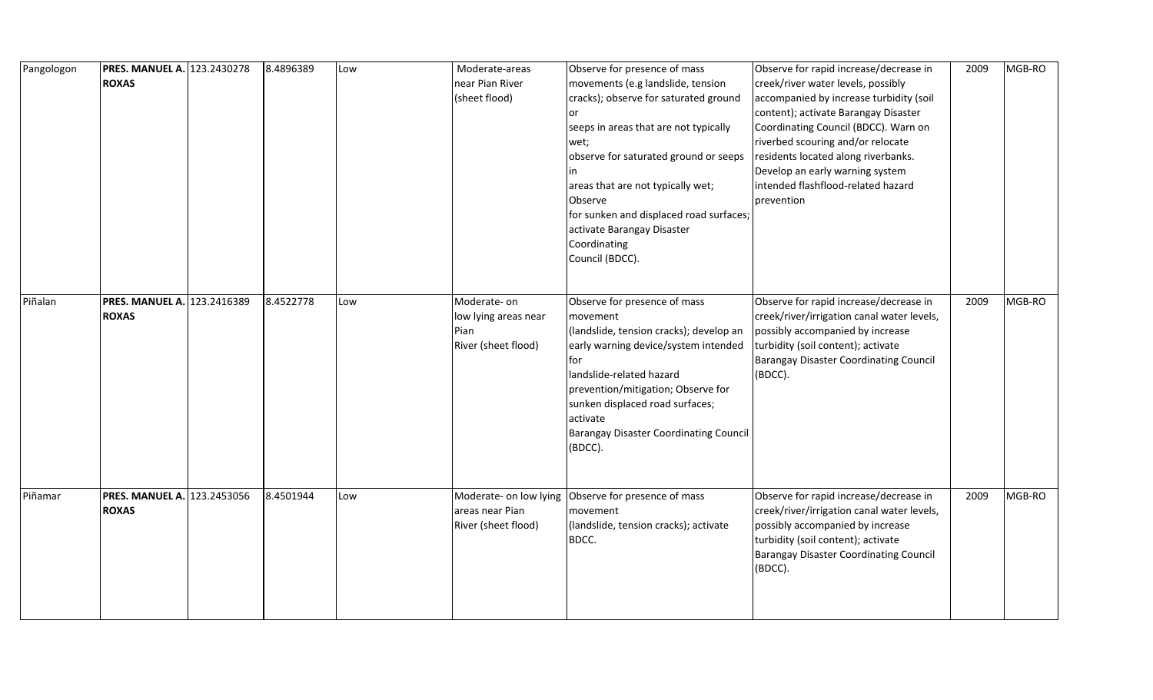| Pangologon | PRES. MANUEL A. 123.2430278<br><b>ROXAS</b>        | 8.4896389 | Low | Moderate-areas<br>near Pian River<br>(sheet flood)                 | Observe for presence of mass<br>movements (e.g landslide, tension<br>cracks); observe for saturated ground<br>seeps in areas that are not typically<br>wet;<br>observe for saturated ground or seeps<br>areas that are not typically wet;<br>Observe<br>for sunken and displaced road surfaces;<br>activate Barangay Disaster<br>Coordinating<br>Council (BDCC). | Observe for rapid increase/decrease in<br>creek/river water levels, possibly<br>accompanied by increase turbidity (soil<br>content); activate Barangay Disaster<br>Coordinating Council (BDCC). Warn on<br>riverbed scouring and/or relocate<br>residents located along riverbanks.<br>Develop an early warning system<br>intended flashflood-related hazard<br>prevention | 2009 | MGB-RO |
|------------|----------------------------------------------------|-----------|-----|--------------------------------------------------------------------|------------------------------------------------------------------------------------------------------------------------------------------------------------------------------------------------------------------------------------------------------------------------------------------------------------------------------------------------------------------|----------------------------------------------------------------------------------------------------------------------------------------------------------------------------------------------------------------------------------------------------------------------------------------------------------------------------------------------------------------------------|------|--------|
| Piñalan    | PRES. MANUEL A. 123.2416389<br><b>ROXAS</b>        | 8.4522778 | Low | Moderate-on<br>low lying areas near<br>Pian<br>River (sheet flood) | Observe for presence of mass<br>movement<br>(landslide, tension cracks); develop an<br>early warning device/system intended<br>for<br>landslide-related hazard<br>prevention/mitigation; Observe for<br>sunken displaced road surfaces;<br>activate<br><b>Barangay Disaster Coordinating Council</b><br>(BDCC).                                                  | Observe for rapid increase/decrease in<br>creek/river/irrigation canal water levels,<br>possibly accompanied by increase<br>turbidity (soil content); activate<br><b>Barangay Disaster Coordinating Council</b><br>(BDCC).                                                                                                                                                 | 2009 | MGB-RO |
| Piñamar    | <b>PRES. MANUEL A. 123.2453056</b><br><b>ROXAS</b> | 8.4501944 | Low | Moderate- on low lying<br>areas near Pian<br>River (sheet flood)   | Observe for presence of mass<br>movement<br>(landslide, tension cracks); activate<br>BDCC.                                                                                                                                                                                                                                                                       | Observe for rapid increase/decrease in<br>creek/river/irrigation canal water levels,<br>possibly accompanied by increase<br>turbidity (soil content); activate<br><b>Barangay Disaster Coordinating Council</b><br>(BDCC).                                                                                                                                                 | 2009 | MGB-RO |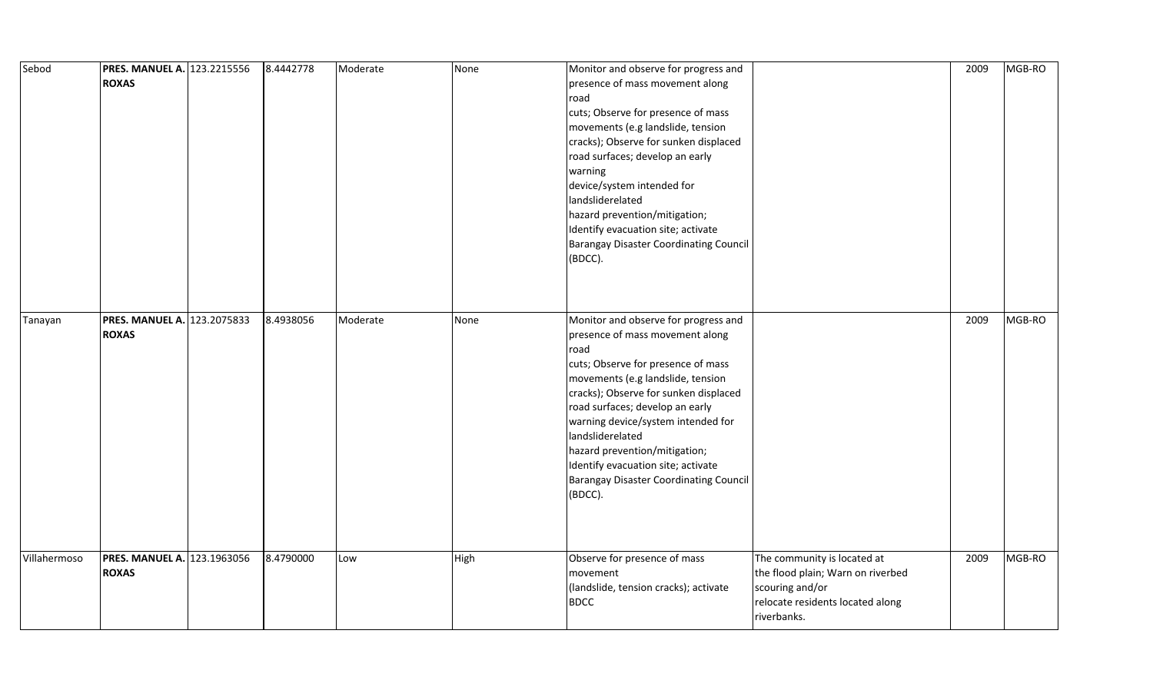| Sebod        | <b>PRES. MANUEL A. 123.2215556</b><br><b>ROXAS</b> | 8.4442778 | Moderate | None | Monitor and observe for progress and<br>presence of mass movement along<br>road<br>cuts; Observe for presence of mass<br>movements (e.g landslide, tension<br>cracks); Observe for sunken displaced<br>road surfaces; develop an early<br>warning<br>device/system intended for<br>landsliderelated<br>hazard prevention/mitigation;<br>Identify evacuation site; activate<br><b>Barangay Disaster Coordinating Council</b><br>(BDCC). |                                                                                                                                        | 2009 | MGB-RO |
|--------------|----------------------------------------------------|-----------|----------|------|----------------------------------------------------------------------------------------------------------------------------------------------------------------------------------------------------------------------------------------------------------------------------------------------------------------------------------------------------------------------------------------------------------------------------------------|----------------------------------------------------------------------------------------------------------------------------------------|------|--------|
| Tanayan      | <b>PRES. MANUEL A. 123.2075833</b><br><b>ROXAS</b> | 8.4938056 | Moderate | None | Monitor and observe for progress and<br>presence of mass movement along<br>road<br>cuts; Observe for presence of mass<br>movements (e.g landslide, tension<br>cracks); Observe for sunken displaced<br>road surfaces; develop an early<br>warning device/system intended for<br>landsliderelated<br>hazard prevention/mitigation;<br>Identify evacuation site; activate<br><b>Barangay Disaster Coordinating Council</b><br>(BDCC).    |                                                                                                                                        | 2009 | MGB-RO |
| Villahermoso | <b>PRES. MANUEL A. 123.1963056</b><br><b>ROXAS</b> | 8.4790000 | Low      | High | Observe for presence of mass<br>movement<br>(landslide, tension cracks); activate<br><b>BDCC</b>                                                                                                                                                                                                                                                                                                                                       | The community is located at<br>the flood plain; Warn on riverbed<br>scouring and/or<br>relocate residents located along<br>riverbanks. | 2009 | MGB-RO |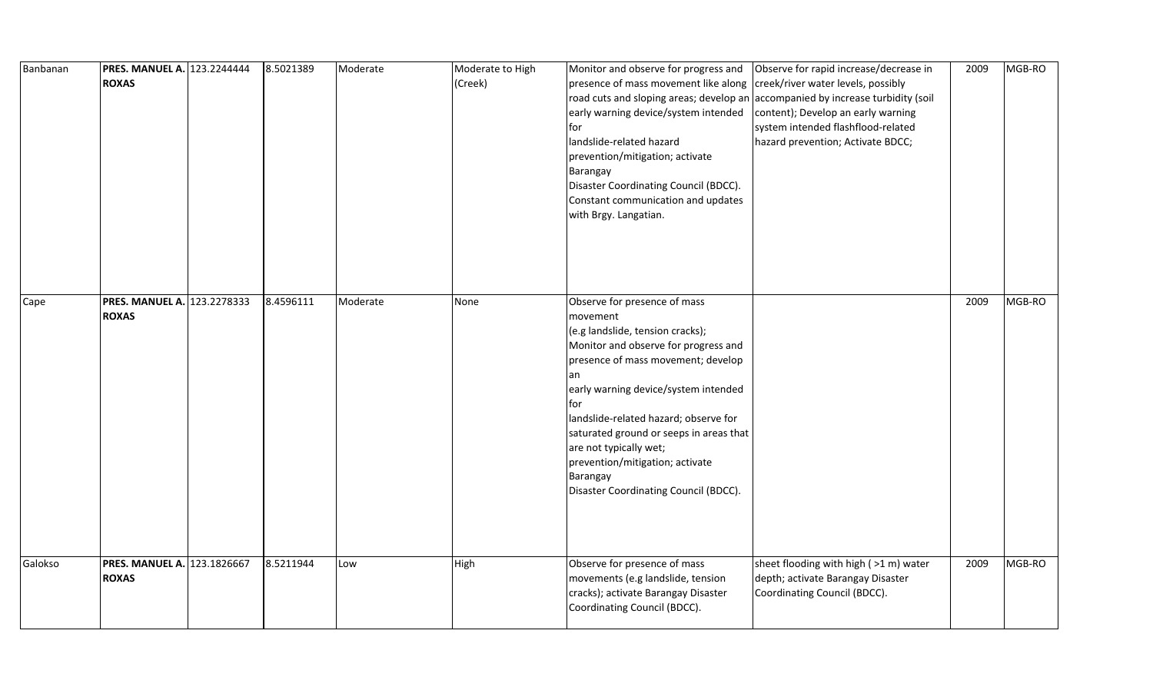| Banbanan | <b>PRES. MANUEL A. 123.2244444</b><br><b>ROXAS</b> | 8.5021389 | Moderate | Moderate to High<br>(Creek) | Monitor and observe for progress and<br>presence of mass movement like along<br>road cuts and sloping areas; develop an accompanied by increase turbidity (soil<br>early warning device/system intended<br>for<br>landslide-related hazard<br>prevention/mitigation; activate<br>Barangay<br>Disaster Coordinating Council (BDCC).<br>Constant communication and updates<br>with Brgy. Langatian.                | Observe for rapid increase/decrease in<br>creek/river water levels, possibly<br>content); Develop an early warning<br>system intended flashflood-related<br>hazard prevention; Activate BDCC; | 2009 | MGB-RO |
|----------|----------------------------------------------------|-----------|----------|-----------------------------|------------------------------------------------------------------------------------------------------------------------------------------------------------------------------------------------------------------------------------------------------------------------------------------------------------------------------------------------------------------------------------------------------------------|-----------------------------------------------------------------------------------------------------------------------------------------------------------------------------------------------|------|--------|
| Cape     | <b>PRES. MANUEL A. 123.2278333</b><br><b>ROXAS</b> | 8.4596111 | Moderate | None                        | Observe for presence of mass<br>movement<br>(e.g landslide, tension cracks);<br>Monitor and observe for progress and<br>presence of mass movement; develop<br>early warning device/system intended<br>lfor<br>landslide-related hazard; observe for<br>saturated ground or seeps in areas that<br>are not typically wet;<br>prevention/mitigation; activate<br>Barangay<br>Disaster Coordinating Council (BDCC). |                                                                                                                                                                                               | 2009 | MGB-RO |
| Galokso  | <b>PRES. MANUEL A. 123.1826667</b><br><b>ROXAS</b> | 8.5211944 | Low      | High                        | Observe for presence of mass<br>movements (e.g landslide, tension<br>cracks); activate Barangay Disaster<br>Coordinating Council (BDCC).                                                                                                                                                                                                                                                                         | sheet flooding with high (>1 m) water<br>depth; activate Barangay Disaster<br>Coordinating Council (BDCC).                                                                                    | 2009 | MGB-RO |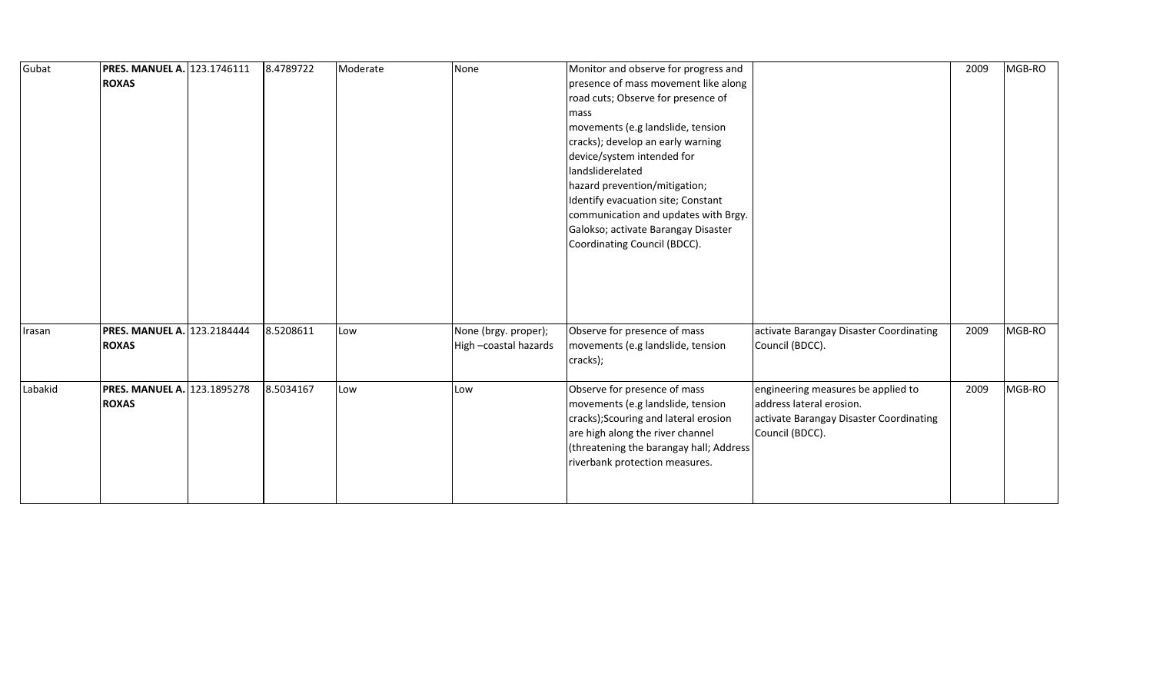| Gubat   | PRES. MANUEL A. 123.1746111<br><b>ROXAS</b>        | 8.4789722 | Moderate | None                                         | Monitor and observe for progress and<br>presence of mass movement like along<br>road cuts; Observe for presence of<br>mass<br>movements (e.g landslide, tension<br>cracks); develop an early warning<br>device/system intended for<br>landsliderelated<br>hazard prevention/mitigation;<br>Identify evacuation site; Constant<br>communication and updates with Brgy.<br>Galokso; activate Barangay Disaster<br>Coordinating Council (BDCC). |                                                                                                                              | 2009 | MGB-RO |
|---------|----------------------------------------------------|-----------|----------|----------------------------------------------|----------------------------------------------------------------------------------------------------------------------------------------------------------------------------------------------------------------------------------------------------------------------------------------------------------------------------------------------------------------------------------------------------------------------------------------------|------------------------------------------------------------------------------------------------------------------------------|------|--------|
| Irasan  | PRES. MANUEL A. 123.2184444<br><b>ROXAS</b>        | 8.5208611 | Low      | None (brgy. proper);<br>High-coastal hazards | Observe for presence of mass<br>movements (e.g landslide, tension<br>cracks);                                                                                                                                                                                                                                                                                                                                                                | activate Barangay Disaster Coordinating<br>Council (BDCC).                                                                   | 2009 | MGB-RO |
| Labakid | <b>PRES. MANUEL A. 123.1895278</b><br><b>ROXAS</b> | 8.5034167 | Low      | Low                                          | Observe for presence of mass<br>movements (e.g landslide, tension<br>cracks); Scouring and lateral erosion<br>are high along the river channel<br>(threatening the barangay hall; Address<br>riverbank protection measures.                                                                                                                                                                                                                  | engineering measures be applied to<br>address lateral erosion.<br>activate Barangay Disaster Coordinating<br>Council (BDCC). | 2009 | MGB-RO |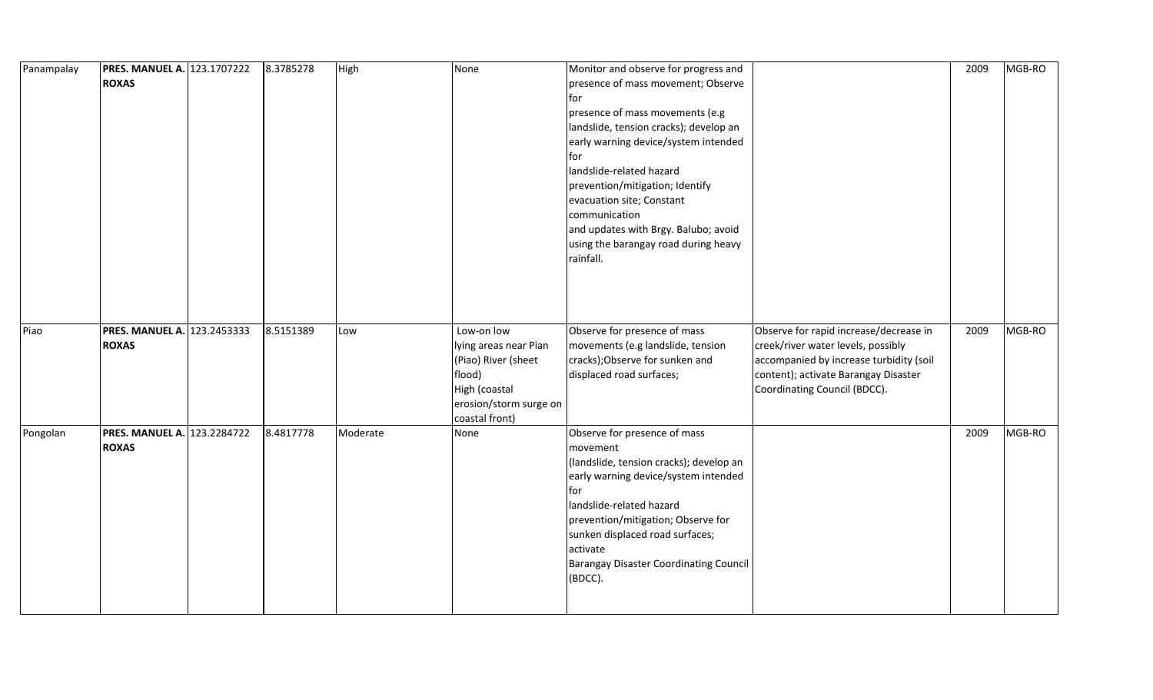| Panampalay | <b>PRES. MANUEL A. 123.1707222</b> | 8.3785278 | High     | None                   | Monitor and observe for progress and                     |                                         | 2009 | MGB-RO |
|------------|------------------------------------|-----------|----------|------------------------|----------------------------------------------------------|-----------------------------------------|------|--------|
|            | <b>ROXAS</b>                       |           |          |                        | presence of mass movement; Observe                       |                                         |      |        |
|            |                                    |           |          |                        | for                                                      |                                         |      |        |
|            |                                    |           |          |                        | presence of mass movements (e.g                          |                                         |      |        |
|            |                                    |           |          |                        | landslide, tension cracks); develop an                   |                                         |      |        |
|            |                                    |           |          |                        | early warning device/system intended                     |                                         |      |        |
|            |                                    |           |          |                        | for                                                      |                                         |      |        |
|            |                                    |           |          |                        | landslide-related hazard                                 |                                         |      |        |
|            |                                    |           |          |                        | prevention/mitigation; Identify                          |                                         |      |        |
|            |                                    |           |          |                        | evacuation site; Constant                                |                                         |      |        |
|            |                                    |           |          |                        | communication                                            |                                         |      |        |
|            |                                    |           |          |                        | and updates with Brgy. Balubo; avoid                     |                                         |      |        |
|            |                                    |           |          |                        | using the barangay road during heavy                     |                                         |      |        |
|            |                                    |           |          |                        | rainfall.                                                |                                         |      |        |
|            |                                    |           |          |                        |                                                          |                                         |      |        |
|            |                                    |           |          |                        |                                                          |                                         |      |        |
|            |                                    |           |          |                        |                                                          |                                         |      |        |
|            |                                    |           |          |                        |                                                          |                                         |      |        |
| Piao       | PRES. MANUEL A. 123.2453333        | 8.5151389 | Low      | Low-on low             | Observe for presence of mass                             | Observe for rapid increase/decrease in  | 2009 | MGB-RO |
|            | <b>ROXAS</b>                       |           |          | lying areas near Pian  | movements (e.g landslide, tension                        | creek/river water levels, possibly      |      |        |
|            |                                    |           |          | (Piao) River (sheet    | cracks); Observe for sunken and                          | accompanied by increase turbidity (soil |      |        |
|            |                                    |           |          | flood)                 | displaced road surfaces;                                 | content); activate Barangay Disaster    |      |        |
|            |                                    |           |          | High (coastal          |                                                          | Coordinating Council (BDCC).            |      |        |
|            |                                    |           |          | erosion/storm surge on |                                                          |                                         |      |        |
|            |                                    |           |          | coastal front)         |                                                          |                                         |      |        |
| Pongolan   | <b>PRES. MANUEL A. 123.2284722</b> | 8.4817778 | Moderate | None                   | Observe for presence of mass                             |                                         | 2009 | MGB-RO |
|            | <b>ROXAS</b>                       |           |          |                        | movement                                                 |                                         |      |        |
|            |                                    |           |          |                        | (landslide, tension cracks); develop an                  |                                         |      |        |
|            |                                    |           |          |                        | early warning device/system intended                     |                                         |      |        |
|            |                                    |           |          |                        | for                                                      |                                         |      |        |
|            |                                    |           |          |                        | landslide-related hazard                                 |                                         |      |        |
|            |                                    |           |          |                        | prevention/mitigation; Observe for                       |                                         |      |        |
|            |                                    |           |          |                        | sunken displaced road surfaces;                          |                                         |      |        |
|            |                                    |           |          |                        | activate                                                 |                                         |      |        |
|            |                                    |           |          |                        |                                                          |                                         |      |        |
|            |                                    |           |          |                        | <b>Barangay Disaster Coordinating Council</b><br>(BDCC). |                                         |      |        |
|            |                                    |           |          |                        |                                                          |                                         |      |        |
|            |                                    |           |          |                        |                                                          |                                         |      |        |
|            |                                    |           |          |                        |                                                          |                                         |      |        |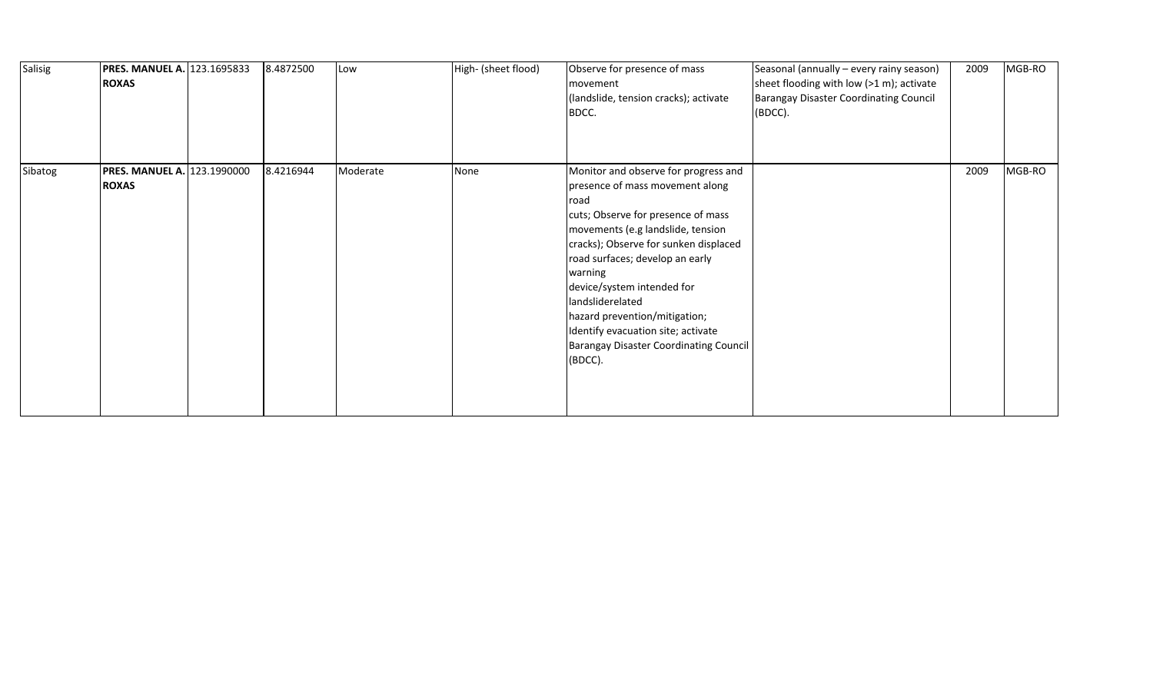| Salisig<br><b>ROXAS</b> | <b>PRES. MANUEL A. 123.1695833</b> | 8.4872500 | Low      | High- (sheet flood) | Observe for presence of mass<br>movement<br>(landslide, tension cracks); activate<br>BDCC.                                                                                                                                                                                                                                                                                                                                             | Seasonal (annually - every rainy season)<br>sheet flooding with low (>1 m); activate<br><b>Barangay Disaster Coordinating Council</b><br>(BDCC). | 2009 | MGB-RO |
|-------------------------|------------------------------------|-----------|----------|---------------------|----------------------------------------------------------------------------------------------------------------------------------------------------------------------------------------------------------------------------------------------------------------------------------------------------------------------------------------------------------------------------------------------------------------------------------------|--------------------------------------------------------------------------------------------------------------------------------------------------|------|--------|
| Sibatog<br><b>ROXAS</b> | PRES. MANUEL A. 123.1990000        | 8.4216944 | Moderate | None                | Monitor and observe for progress and<br>presence of mass movement along<br>road<br>cuts; Observe for presence of mass<br>movements (e.g landslide, tension<br>cracks); Observe for sunken displaced<br>road surfaces; develop an early<br>warning<br>device/system intended for<br>landsliderelated<br>hazard prevention/mitigation;<br>Identify evacuation site; activate<br><b>Barangay Disaster Coordinating Council</b><br>(BDCC). |                                                                                                                                                  | 2009 | MGB-RO |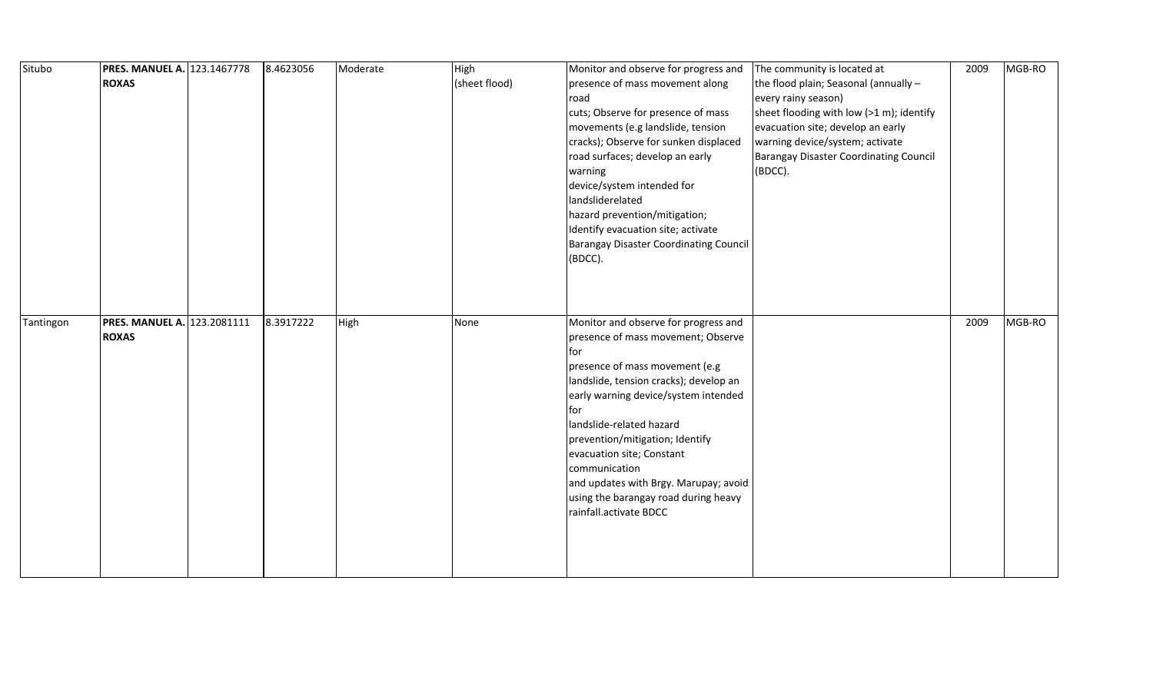| Situbo    | <b>PRES. MANUEL A. 123.1467778</b> | 8.4623056 | Moderate | High          | Monitor and observe for progress and   | The community is located at                   | 2009 | MGB-RO |
|-----------|------------------------------------|-----------|----------|---------------|----------------------------------------|-----------------------------------------------|------|--------|
|           | <b>ROXAS</b>                       |           |          | (sheet flood) | presence of mass movement along        | the flood plain; Seasonal (annually -         |      |        |
|           |                                    |           |          |               | road                                   | every rainy season)                           |      |        |
|           |                                    |           |          |               | cuts; Observe for presence of mass     | sheet flooding with low (>1 m); identify      |      |        |
|           |                                    |           |          |               | movements (e.g landslide, tension      | evacuation site; develop an early             |      |        |
|           |                                    |           |          |               | cracks); Observe for sunken displaced  | warning device/system; activate               |      |        |
|           |                                    |           |          |               | road surfaces; develop an early        | <b>Barangay Disaster Coordinating Council</b> |      |        |
|           |                                    |           |          |               | warning                                | (BDCC).                                       |      |        |
|           |                                    |           |          |               | device/system intended for             |                                               |      |        |
|           |                                    |           |          |               | landsliderelated                       |                                               |      |        |
|           |                                    |           |          |               | hazard prevention/mitigation;          |                                               |      |        |
|           |                                    |           |          |               | Identify evacuation site; activate     |                                               |      |        |
|           |                                    |           |          |               | Barangay Disaster Coordinating Council |                                               |      |        |
|           |                                    |           |          |               | (BDCC).                                |                                               |      |        |
|           |                                    |           |          |               |                                        |                                               |      |        |
|           |                                    |           |          |               |                                        |                                               |      |        |
|           |                                    |           |          |               |                                        |                                               |      |        |
| Tantingon | <b>PRES. MANUEL A. 123.2081111</b> | 8.3917222 | High     | None          | Monitor and observe for progress and   |                                               | 2009 | MGB-RO |
|           | <b>ROXAS</b>                       |           |          |               | presence of mass movement; Observe     |                                               |      |        |
|           |                                    |           |          |               | for                                    |                                               |      |        |
|           |                                    |           |          |               | presence of mass movement (e.g         |                                               |      |        |
|           |                                    |           |          |               | landslide, tension cracks); develop an |                                               |      |        |
|           |                                    |           |          |               | early warning device/system intended   |                                               |      |        |
|           |                                    |           |          |               | for                                    |                                               |      |        |
|           |                                    |           |          |               | landslide-related hazard               |                                               |      |        |
|           |                                    |           |          |               | prevention/mitigation; Identify        |                                               |      |        |
|           |                                    |           |          |               | evacuation site; Constant              |                                               |      |        |
|           |                                    |           |          |               | communication                          |                                               |      |        |
|           |                                    |           |          |               | and updates with Brgy. Marupay; avoid  |                                               |      |        |
|           |                                    |           |          |               | using the barangay road during heavy   |                                               |      |        |
|           |                                    |           |          |               | rainfall.activate BDCC                 |                                               |      |        |
|           |                                    |           |          |               |                                        |                                               |      |        |
|           |                                    |           |          |               |                                        |                                               |      |        |
|           |                                    |           |          |               |                                        |                                               |      |        |
|           |                                    |           |          |               |                                        |                                               |      |        |